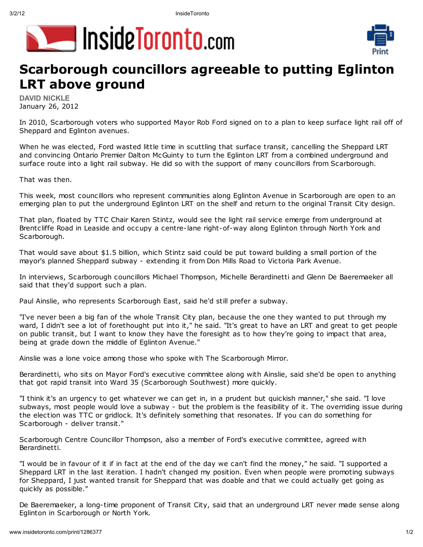





## **Scarborough councillors agreeable to putting Eglinton LRT above ground**

**DAVID NICKLE** January 26, 2012

In 2010, Scarborough voters who supported Mayor Rob Ford signed on to a plan to keep surface light rail off of Sheppard and Eglinton avenues.

When he was elected, Ford wasted little time in scuttling that surface transit, cancelling the Sheppard LRT and convincing Ontario Premier Dalton McGuinty to turn the Eglinton LRT from a combined underground and surface route into a light rail subway. He did so with the support of many councillors from Scarborough.

That was then.

This week, most councillors who represent communities along Eglinton Avenue in Scarborough are open to an emerging plan to put the underground Eglinton LRT on the shelf and return to the original Transit City design.

That plan, floated by TTC Chair Karen Stintz, would see the light rail service emerge from underground at Brentcliffe Road in Leaside and occupy a centre-lane right-of-way along Eglinton through North York and Scarborough.

That would save about \$1.5 billion, which Stintz said could be put toward building a small portion of the mayor's planned Sheppard subway - extending it from Don Mills Road to Victoria Park Avenue.

In interviews, Scarborough councillors Michael Thompson, Michelle Berardinetti and Glenn De Baeremaeker all said that they'd support such a plan.

Paul Ainslie, who represents Scarborough East, said he'd still prefer a subway.

"I've never been a big fan of the whole Transit City plan, because the one they wanted to put through my ward, I didn't see a lot of forethought put into it," he said. "It's great to have an LRT and great to get people on public transit, but I want to know they have the foresight as to how they're going to impact that area, being at grade down the middle of Eglinton Avenue."

Ainslie was a lone voice among those who spoke with The Scarborough Mirror.

Berardinetti, who sits on Mayor Ford's executive committee along with Ainslie, said she'd be open to anything that got rapid transit into Ward 35 (Scarborough Southwest) more quickly.

"I think it's an urgency to get whatever we can get in, in a prudent but quickish manner," she said. "I love subways, most people would love a subway - but the problem is the feasibility of it. The overriding issue during the election was TTC or gridlock. It's definitely something that resonates. If you can do something for Scarborough - deliver transit."

Scarborough Centre Councillor Thompson, also a member of Ford's executive committee, agreed with Berardinetti.

"I would be in favour of it if in fact at the end of the day we can't find the money," he said. "I supported a Sheppard LRT in the last iteration. I hadn't changed my position. Even when people were promoting subways for Sheppard, I just wanted transit for Sheppard that was doable and that we could actually get going as quickly as possible."

De Baeremaeker, a long-time proponent of Transit City, said that an underground LRT never made sense along Eglinton in Scarborough or North York.